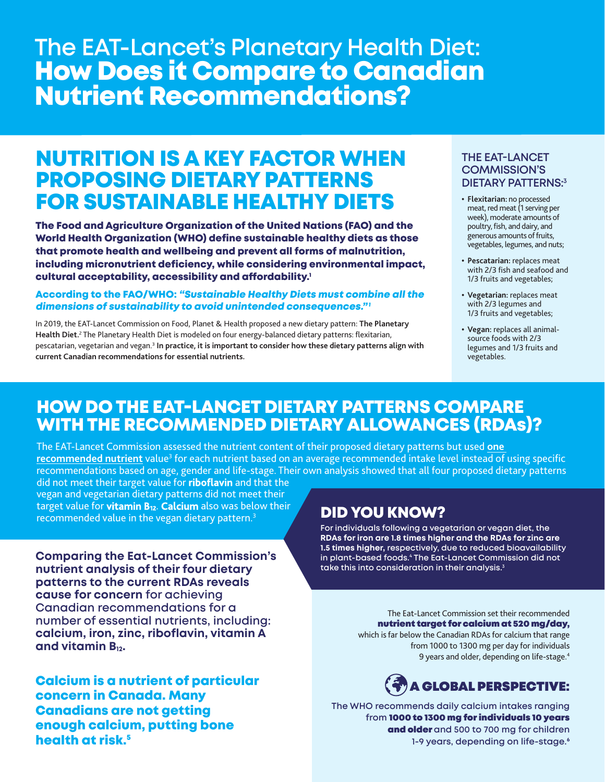# **The EAT-Lancet's Planetary Health Diet:** How Does it Compare to Canadian Nutrient Recommendations?

## NUTRITION IS A KEY FACTOR WHEN PROPOSING DIETARY PATTERNS FOR SUSTAINABLE HEALTHY DIETS

The Food and Agriculture Organization of the United Nations (FAO) and the World Health Organization (WHO) define sustainable healthy diets as those that promote health and wellbeing and prevent all forms of malnutrition, including micronutrient deficiency, while considering environmental impact, cultural acceptability, accessibility and affordability.<sup>1</sup>

### According to the FAO/WHO: "Sustainable Healthy Diets must combine all the dimensions of sustainability to avoid unintended consequences."<sup>1</sup>

In 2019, the EAT-Lancet Commission on Food, Planet & Health proposed a new dietary pattern: **The Planetary Health Diet.**<sup>2</sup> The Planetary Health Diet is modeled on four energy-balanced dietary patterns: flexitarian, pescatarian, vegetarian and vegan.3 **In practice, it is important to consider how these dietary patterns align with current Canadian recommendations for essential nutrients.**

### **THE EAT-LANCET COMMISSION'S DIETARY PATTERNS:3**

- **• Flexitarian:** no processed meat, red meat (1 serving per week), moderate amounts of poultry, fish, and dairy, and generous amounts of fruits, vegetables, legumes, and nuts;
- **• Pescatarian:** replaces meat with 2/3 fish and seafood and 1/3 fruits and vegetables;
- **• Vegetarian:** replaces meat with 2/3 legumes and 1/3 fruits and vegetables;
- **• Vegan:** replaces all animalsource foods with 2/3 legumes and 1/3 fruits and vegetables.

## HOW DO THE EAT-LANCET DIETARY PATTERNS COMPARE WITH THE RECOMMENDED DIETARY ALLOWANCES (RDAs)?

The EAT-Lancet Commission assessed the nutrient content of their proposed dietary patterns but used **one**  <mark>recommended nutrient</mark> value<sup>3</sup> for each nutrient based on an average recommended intake level instead of using specific recommendations based on age, gender and life-stage. Their own analysis showed that all four proposed dietary patterns

did not meet their target value for **riboflavin** and that the vegan and vegetarian dietary patterns did not meet their target value for **vitamin B12**. **Calcium** also was below their Earget value for **vitamin B<sub>12</sub>. Catcium** also was below their **DID YOU KNOW?**<br>recommended value in the vegan dietary pattern.<sup>3</sup>

**Comparing the Eat-Lancet Commission's nutrient analysis of their four dietary patterns to the current RDAs reveals cause for concern for achieving Canadian recommendations for a number of essential nutrients, including: calcium, iron, zinc, riboflavin, vitamin A and vitamin B12.**

Calcium is a nutrient of particular concern in Canada. Many Canadians are not getting enough calcium, putting bone health at risk.<sup>5</sup>

**For individuals following a vegetarian or vegan diet, the RDAs for iron are 1.8 times higher and the RDAs for zinc are 1.5 times higher, respectively, due to reduced bioavailability in plant-based foods.4 The Eat-Lancet Commission did not take this into consideration in their analysis.3**

> The Eat-Lancet Commission set their recommended nutrient target for calcium at 520 mg/day,

which is far below the Canadian RDAs for calcium that range from 1000 to 1300 mg per day for individuals 9 years and older, depending on life-stage.<sup>4</sup>

## A GLOBAL PERSPECTIVE:

**The WHO recommends daily calcium intakes ranging from** 1000 to 1300 mg for individuals 10 years and older **and 500 to 700 mg for children 1-9 years, depending on life-stage.6**